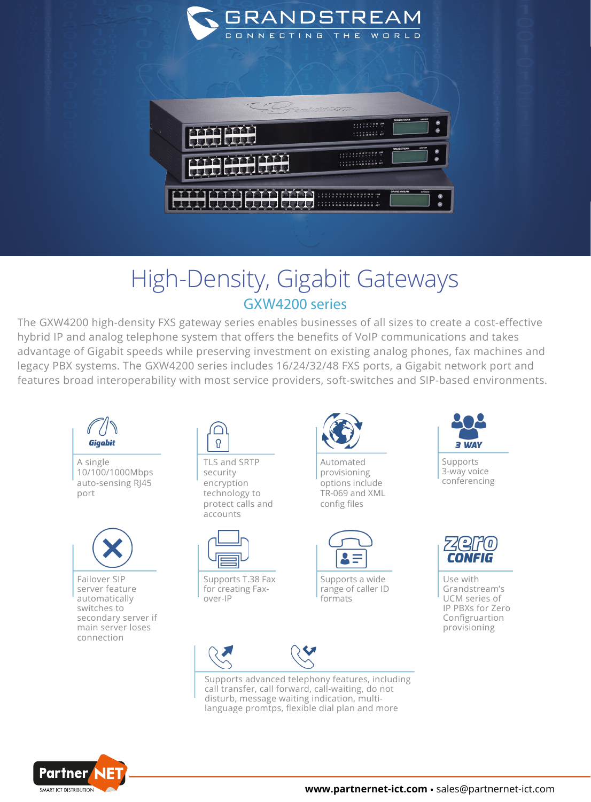

## High-Density, Gigabit Gateways GXW4200 series

The GXW4200 high-density FXS gateway series enables businesses of all sizes to create a cost-effective hybrid IP and analog telephone system that offers the benefits of VoIP communications and takes advantage of Gigabit speeds while preserving investment on existing analog phones, fax machines and legacy PBX systems. The GXW4200 series includes 16/24/32/48 FXS ports, a Gigabit network port and features broad interoperability with most service providers, soft-switches and SIP-based environments.



A single 10/100/1000Mbps auto-sensing RJ45 port



Failover SIP server feature automatically switches to secondary server if main server loses connection



TLS and SRTP security encryption technology to protect calls and accounts



Supports T.38 Fax for creating Faxover-IP



Automated provisioning options include TR-069 and XML config files



Supports a wide range of caller ID formats





Supports advanced telephony features, including call transfer, call forward, call-waiting, do not disturb, message waiting indication, multilanguage promtps, flexible dial plan and more



Supports 3-way voice conferencing



Use with Grandstream's UCM series of IP PBXs for Zero Configruartion provisioning